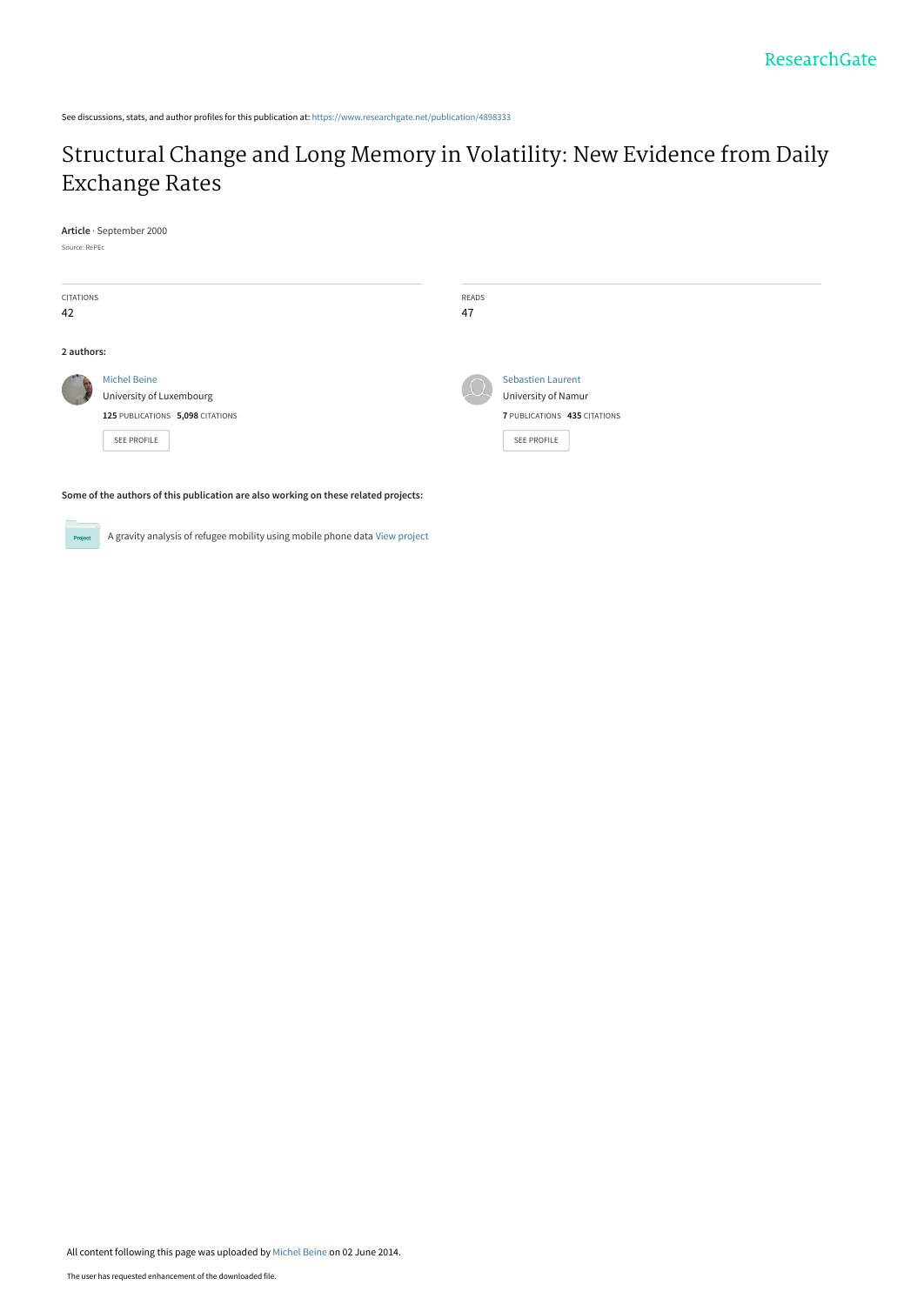See discussions, stats, and author profiles for this publication at: [https://www.researchgate.net/publication/4898333](https://www.researchgate.net/publication/4898333_Structural_Change_and_Long_Memory_in_Volatility_New_Evidence_from_Daily_Exchange_Rates?enrichId=rgreq-5c0a12c9b4cfe14d1cbf443c7f92135a-XXX&enrichSource=Y292ZXJQYWdlOzQ4OTgzMzM7QVM6MTAzNDI2NjU0NDc0MjU0QDE0MDE2NzAyNDQ2MTE%3D&el=1_x_2&_esc=publicationCoverPdf)

## [Structural Change and Long Memory in Volatility: New Evidence from Daily](https://www.researchgate.net/publication/4898333_Structural_Change_and_Long_Memory_in_Volatility_New_Evidence_from_Daily_Exchange_Rates?enrichId=rgreq-5c0a12c9b4cfe14d1cbf443c7f92135a-XXX&enrichSource=Y292ZXJQYWdlOzQ4OTgzMzM7QVM6MTAzNDI2NjU0NDc0MjU0QDE0MDE2NzAyNDQ2MTE%3D&el=1_x_3&_esc=publicationCoverPdf) Exchange Rates

**Article** · September 2000

Source: RePEc

| CITATIONS<br>42 |                                                                                                           | READS<br>47 |                                                                                                       |
|-----------------|-----------------------------------------------------------------------------------------------------------|-------------|-------------------------------------------------------------------------------------------------------|
| 2 authors:      |                                                                                                           |             |                                                                                                       |
|                 | <b>Michel Beine</b><br>University of Luxembourg<br>125 PUBLICATIONS 5,098 CITATIONS<br><b>SEE PROFILE</b> |             | <b>Sebastien Laurent</b><br>University of Namur<br>7 PUBLICATIONS 435 CITATIONS<br><b>SEE PROFILE</b> |

**Some of the authors of this publication are also working on these related projects:**

A gravity analysis of refugee mobility using mobile phone data [View project](https://www.researchgate.net/project/A-gravity-analysis-of-refugee-mobility-using-mobile-phone-data?enrichId=rgreq-5c0a12c9b4cfe14d1cbf443c7f92135a-XXX&enrichSource=Y292ZXJQYWdlOzQ4OTgzMzM7QVM6MTAzNDI2NjU0NDc0MjU0QDE0MDE2NzAyNDQ2MTE%3D&el=1_x_9&_esc=publicationCoverPdf) Project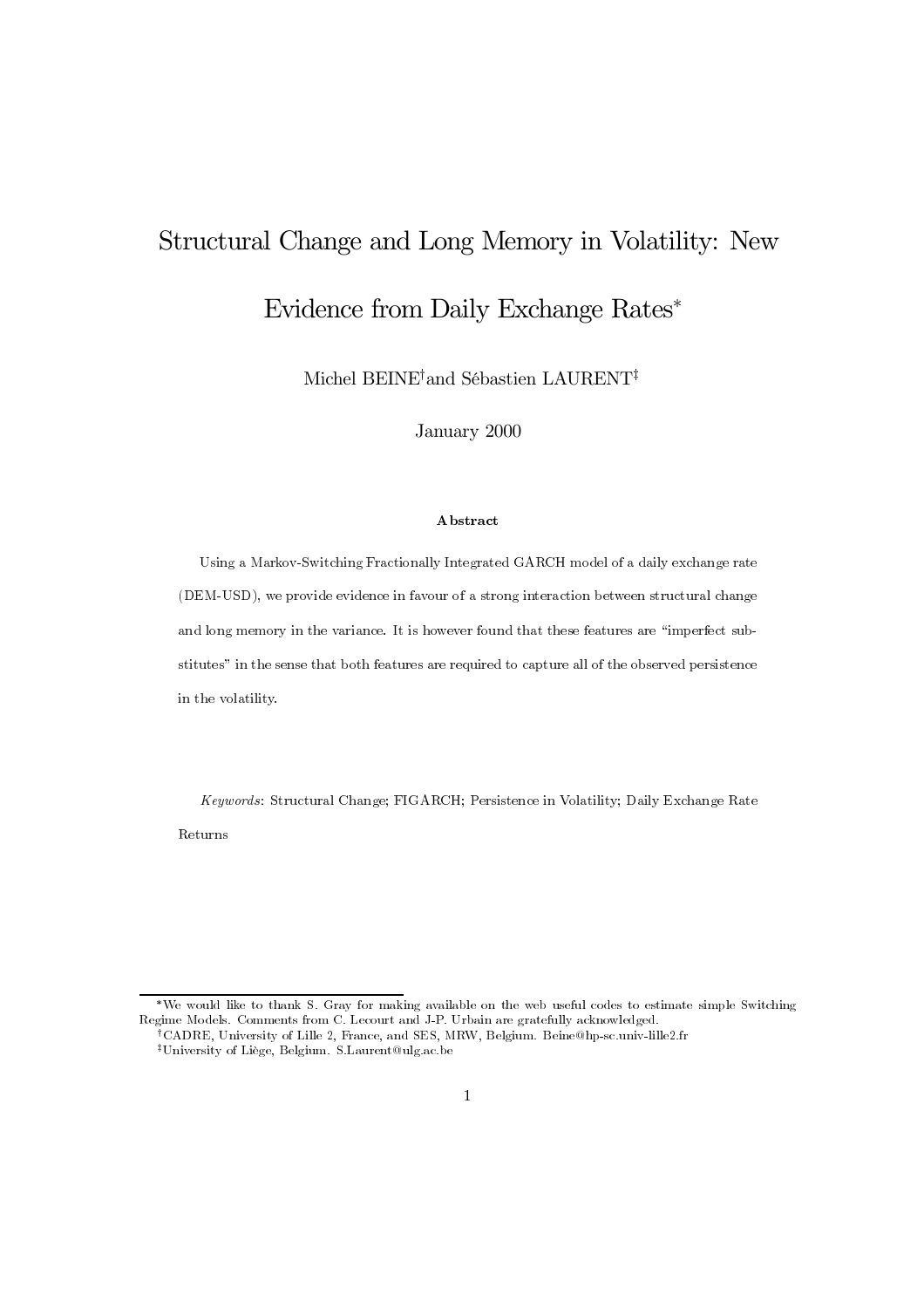# Structural Change and Long Memory in Volatility: New Evidence from Daily Exchange Rates\*

Michel BEINE<sup>†</sup>and Sébastien LAURENT<sup>‡</sup>

January 2000

#### Abstract

Using a Markov-Switching Fractionally Integrated GARCH model of a daily exchange rate (DEM-USD), we provide evidence in favour of a strong interaction between structural change and long memory in the variance. It is however found that these features are "imperfect substitutes" in the sense that both features are required to capture all of the observed persistence in the volatility.

Keywords: Structural Change; FIGARCH; Persistence in Volatility; Daily Exchange Rate Returns

<sup>\*</sup>We would like to thank S. Gray for making available on the web useful codes to estimate simple Switching Regime Models. Comments from C. Lecourt and J-P. Urbain are gratefully acknowledged.

<sup>&</sup>lt;sup>†</sup>CADRE, University of Lille 2, France, and SES, MRW, Belgium. Beine@hp-sc.univ-lille2.fr <sup>‡</sup>University of Liège, Belgium. S.Laurent@ulg.ac.be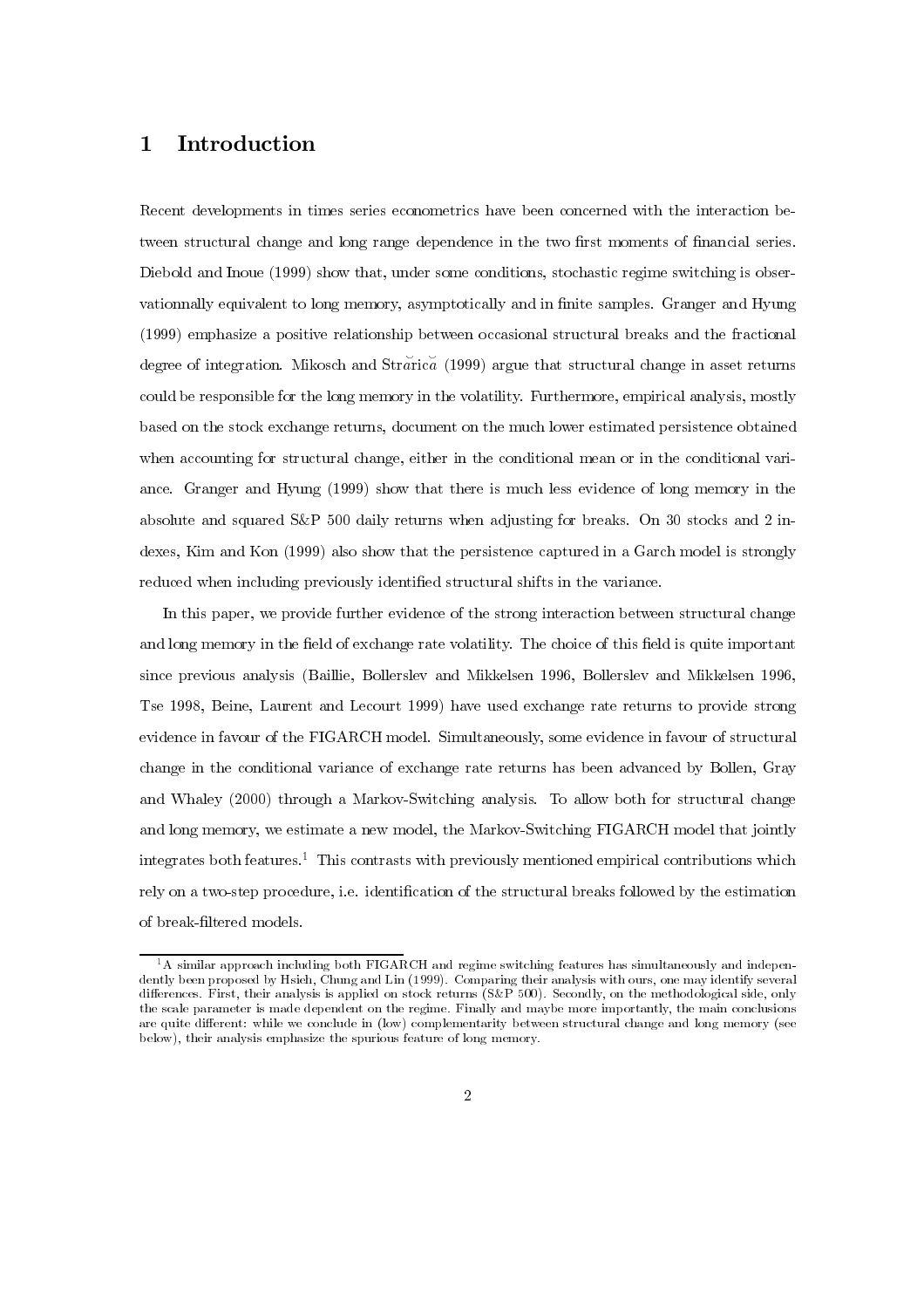### 1 Introduction

Recent developments in times series econometrics have been concerned with the interaction between structural change and long range dependence in the two first moments of financial series. Diebold and Inoue (1999) show that, under some conditions, stochastic regime switching is observationnally equivalent to long memory, asymptotically and in finite samples. Granger and Hyung  $(1999)$  emphasize a positive relationship between occasional structural breaks and the fractional degree of integration. Mikosch and Strarica (1999) argue that structural change in asset returns could be responsible for the long memory in the volatility. Furthermore, empirical analysis, mostly based on the stock exchange returns, document on the much lower estimated persistence obtained when accounting for structural change, either in the conditional mean or in the conditional variance. Granger and Hyung (1999) show that there is much less evidence of long memory in the absolute and squared S&P 500 daily returns when adjusting for breaks. On 30 stocks and 2 indexes, Kim and Kon (1999) also show that the persistence captured in a Garch model is strongly reduced when including previously identified structural shifts in the variance.

In this paper, we provide further evidence of the strong interaction between structural change and long memory in the field of exchange rate volatility. The choice of this field is quite important since previous analysis (Baillie, Bollerslev and Mikkelsen 1996, Bollerslev and Mikkelsen 1996, Tse 1998, Beine, Laurent and Lecourt 1999) have used exchange rate returns to provide strong evidence in favour of the FIGARCH model. Simultaneously, some evidence in favour of structural change in the conditional variance of exchange rate returns has been advanced by Bollen, Gray and Whaley (2000) through a Markov-Switching analysis. To allow both for structural change and long memory, we estimate a new model, the Markov-Switching FIGARCH model that jointly integrates both features.<sup>1</sup> This contrasts with previously mentioned empirical contributions which rely on a two-step procedure, i.e. identification of the structural breaks followed by the estimation of break-filtered models.

 $^{1}$ A similar approach including both FIGARCH and regime switching features has simultaneously and independently been proposed by Hsieh, Chung and Lin (1999). Comparing their analysis with ours, one may identify several differences. First, their analysis is applied on stock returns (S&P 500). Secondly, on the methodological side, only the scale parameter is made dependent on the regime. Finally and maybe more importantly, the main conclusions are quite different: while we conclude in (low) complementarity between structural change and long memory (see below), their analysis emphasize the spurious feature of long memory.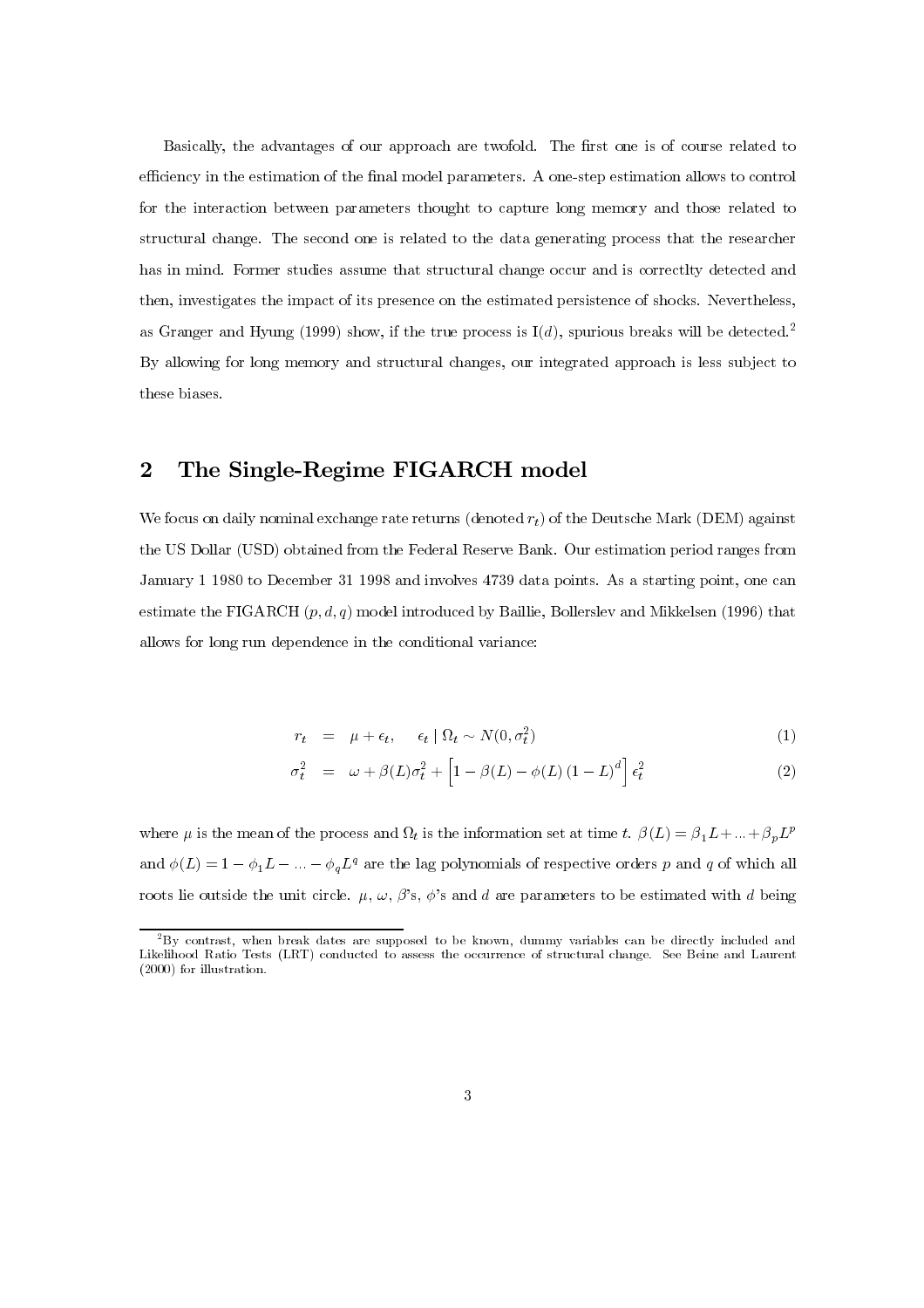Basically, the advantages of our approach are twofold. The first one is of course related to efficiency in the estimation of the final model parameters. A one-step estimation allows to control for the interaction between parameters thought to capture long memory and those related to structural change. The second one is related to the data generating process that the researcher has in mind. Former studies assume that structural change occur and is correctly detected and then, investigates the impact of its presence on the estimated persistence of shocks. Nevertheless, as Granger and Hyung (1999) show, if the true process is  $I(d)$ , spurious breaks will be detected.<sup>2</sup> By allowing for long memory and structural changes, our integrated approach is less subject to these biases.

### 2 The Single-Regime FIGARCH model

We focus on daily nominal exchange rate returns (denoted  $r_t$ ) of the Deutsche Mark (DEM) against the US Dollar (USD) obtained from the Federal Reserve Bank. Our estimation period ranges from January 1 1980 to December 31 1998 and involves 4739 data points. As a starting point, one can estimate the FIGARCH  $(p, d, q)$  model introduced by Baillie, Bollerslev and Mikkelsen (1996) that allows for long run dependence in the conditional variance:

$$
r_t = \mu + \epsilon_t, \quad \epsilon_t \mid \Omega_t \sim N(0, \sigma_t^2)
$$
 (1)

$$
\sigma_t^2 = \omega + \beta(L)\sigma_t^2 + \left[1 - \beta(L) - \phi(L)\left(1 - L\right)^d\right]\epsilon_t^2 \tag{2}
$$

where  $\mu$  is the mean of the process and  $\Omega_t$  is the information set at time  $t.$   $\beta(L)=\beta_1 L+...+\beta_p L^p$ and  $\phi(L) = 1 - \phi_1 L - \ldots - \phi_q L^q$  are the lag polynomials of respective orders p and q of which all roots lie outside the unit circle.  $\mu$ ,  $\omega$ ,  $\beta$ 's,  $\phi$ 's and d are parameters to be estimated with d being

 $12By$  contrast, when break dates are supposed to be known, dummy variables can be directly included and Likelihood Ratio Tests (LRT) conducted to assess the occurrence of structural change. See Beine and Laurent  $(2000)$  for illustration.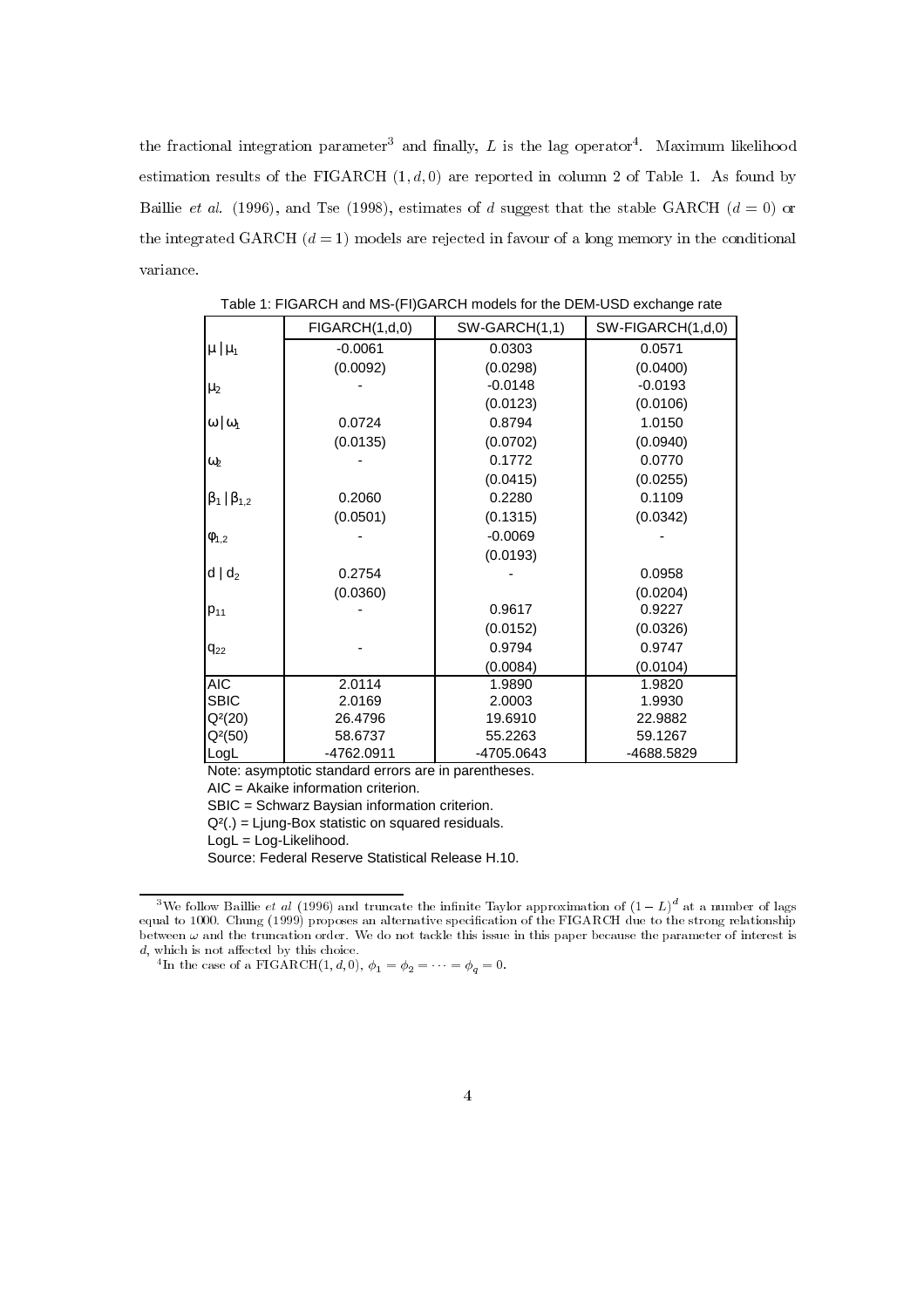the fractional integration parameter<sup>3</sup> and finally, L is the lag operator<sup>4</sup>. Maximum likelihood estimation results of the FIGARCH  $(1, d, 0)$  are reported in column 2 of Table 1. As found by Baillie et al. (1996), and Tse (1998), estimates of d suggest that the stable GARCH  $(d = 0)$  or the integrated GARCH  $(d = 1)$  models are rejected in favour of a long memory in the conditional variance.

|                         | FIGARCH(1,d,0) | SW-GARCH(1,1) | SW-FIGARCH(1,d,0) |
|-------------------------|----------------|---------------|-------------------|
| $\mu \mid \mu_1$        | $-0.0061$      | 0.0303        | 0.0571            |
|                         | (0.0092)       | (0.0298)      | (0.0400)          |
| $\mu_2$                 |                | $-0.0148$     | $-0.0193$         |
|                         |                | (0.0123)      | (0.0106)          |
| $\omega$   $\omega_1$   | 0.0724         | 0.8794        | 1.0150            |
|                         | (0.0135)       | (0.0702)      | (0.0940)          |
| $\omega_2$              |                | 0.1772        | 0.0770            |
|                         |                | (0.0415)      | (0.0255)          |
| $\beta_1   \beta_{1,2}$ | 0.2060         | 0.2280        | 0.1109            |
|                         | (0.0501)       | (0.1315)      | (0.0342)          |
| $\phi_{1,2}$            |                | $-0.0069$     |                   |
|                         |                | (0.0193)      |                   |
| $d   d_2$               | 0.2754         |               | 0.0958            |
|                         | (0.0360)       |               | (0.0204)          |
| $P_{11}$                |                | 0.9617        | 0.9227            |
|                         |                | (0.0152)      | (0.0326)          |
| $q_{22}$                |                | 0.9794        | 0.9747            |
|                         |                | (0.0084)      | (0.0104)          |
| AIC                     | 2.0114         | 1.9890        | 1.9820            |
| <b>SBIC</b>             | 2.0169         | 2.0003        | 1.9930            |
| $Q^2(20)$               | 26.4796        | 19.6910       | 22.9882           |
| $Q^{2}(50)$             | 58.6737        | 55.2263       | 59.1267           |
| LogL                    | -4762.0911     | -4705.0643    | -4688.5829        |

Table 1: FIGARCH and MS-(FI)GARCH models for the DEM-USD exchange rate

Note: asymptotic standard errors are in parentheses.

AIC = Akaike information criterion.

SBIC = Schwarz Baysian information criterion.

 $Q<sup>2</sup>(.)$  = Ljung-Box statistic on squared residuals.

LogL = Log-Likelihood.

Source: Federal Reserve Statistical Release H.10.

 $^3\rm{We}$  follow Baillie *et al* (1996) and truncate the infinite Taylor approximation of  $(1-L)^d$  at a number of lags equal to 1000. Chung (1999) proposes an alternative specification of the FIGARCH due to the strong relationship between  $\omega$  and the truncation order. We do not tackle this issue in this paper because the parameter of interest is  $d$ , which is not affected by this choice.

<sup>&</sup>lt;sup>4</sup> In the case of a FIGARCH(1, d, 0),  $\phi_1 = \phi_2 = \cdots = \phi_q = 0$ .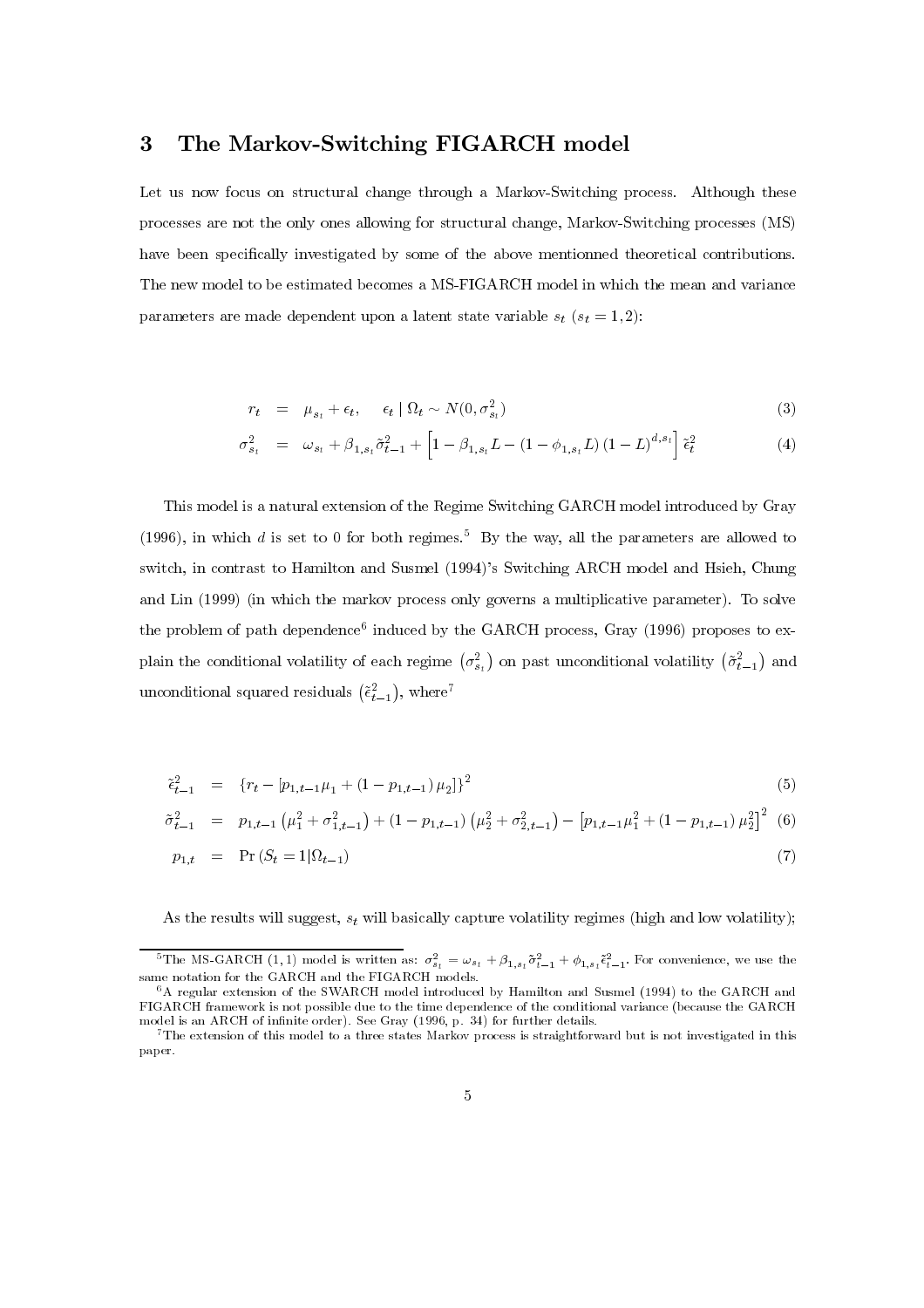#### 3 The Markov-Switching FIGARCH model

Let us now focus on structural change through a Markov-Switching process. Although these processes are not the only ones allowing for structural change, Markov-Switching processes (MS) have been specifically investigated by some of the above mentionned theoretical contributions. The new model to be estimated becomes a MS-FIGARCH model in which the mean and variance parameters are made dependent upon a latent state variable  $s_t$  ( $s_t=1,2$ ):

$$
r_t = \mu_{s_t} + \epsilon_t, \quad \epsilon_t \mid \Omega_t \sim N(0, \sigma_{s_t}^2)
$$
\n
$$
(3)
$$

$$
r_{t} = \mu_{s_{t}} + \epsilon_{t}, \quad \epsilon_{t} | \Omega_{t} \sim N(0, \sigma_{s_{t}}^{2})
$$
\n
$$
\sigma_{s_{t}}^{2} = \omega_{s_{t}} + \beta_{1, s_{t}} \tilde{\sigma}_{t-1}^{2} + \left[1 - \beta_{1, s_{t}} L - (1 - \phi_{1, s_{t}} L) (1 - L)^{d, s_{t}}\right] \tilde{\epsilon}_{t}^{2}
$$
\n(4)

This model is a natural extension of the Regime Switching GARCH model introduced by Gray (1996), in which d is set to 0 for both regimes.<sup>5</sup> By the way, all the parameters are allowed to switch, in contrast to Hamilton and Susmel (1994)'s Switching ARCH model and Hsieh, Chung and Lin  $(1999)$  (in which the markov process only governs a multiplicative parameter). To solve the problem of path dependence<sup>6</sup> induced by the GARCH process, Gray (1996) proposes to exthe problem of path dependence<sup>6</sup> induced by the GARCH process, Gray (1996) proposes to ex-<br>plain the conditional volatility of each regime  $(\sigma_{s_i}^2)$  on past unconditional volatility  $(\tilde{\sigma}_{t-1}^2)$  and<br>unconditional sq unconditional squared residuals  $(\tilde{\epsilon}_{t-1}^2)$ , where<sup>7</sup>

$$
\tilde{\epsilon}_{t-1}^{2} = \{r_{t} - [p_{1,t-1}\mu_{1} + (1 - p_{1,t-1})\mu_{2}]\}^{2}
$$
\n
$$
\tilde{\sigma}_{t-1}^{2} = p_{1,t-1} \left(\mu_{1}^{2} + \sigma_{1,t-1}^{2}\right) + (1 - p_{1,t-1})\left(\mu_{2}^{2} + \sigma_{2,t-1}^{2}\right) - \left[p_{1,t-1}\mu_{1}^{2} + (1 - p_{1,t-1})\mu_{2}^{2}\right]^{2}
$$
\n(5)

$$
\tilde{\sigma}_{t-1}^2 = p_{1,t-1} \left( \mu_1^2 + \sigma_{1,t-1}^2 \right) + (1 - p_{1,t-1}) \left( \mu_2^2 + \sigma_{2,t-1}^2 \right) - \left[ p_{1,t-1} \mu_1^2 + (1 - p_{1,t-1}) \mu_2^2 \right]^2 \tag{7}
$$
\n
$$
p_{1,t} = \Pr \left( S_t = 1 | \Omega_{t-1} \right)
$$

$$
p_{1,t} = \Pr(S_t = 1 | \Omega_{t-1}) \tag{7}
$$

As the results will suggest,  $s_t$  will basically capture volatility regimes (high and low volatility);

<sup>&</sup>lt;sup>5</sup>The MS-GARCH (1, 1) model is written as:  $\sigma_{s_t}^2 = \omega_{s_t} + \beta_{1,s_t} \tilde{\sigma}_{t-1}^2 + \phi_{1,s_t} \tilde{\epsilon}_{t-1}^2$ . For convenience, we use the same notation for the GARCH and the FIGARCH models.

 $6A$  regular extension of the SWARCH model introduced by Hamilton and Susmel (1994) to the GARCH and FIGARCH framework is not possible due to the time dependence of the conditional variance (because the GARCH model is an ARCH of infinite order). See Gray (1996, p. 34) for further details.

<sup>&</sup>lt;sup>7</sup>The extension of this model to a three states Markov process is straightforward but is not investigated in this paper.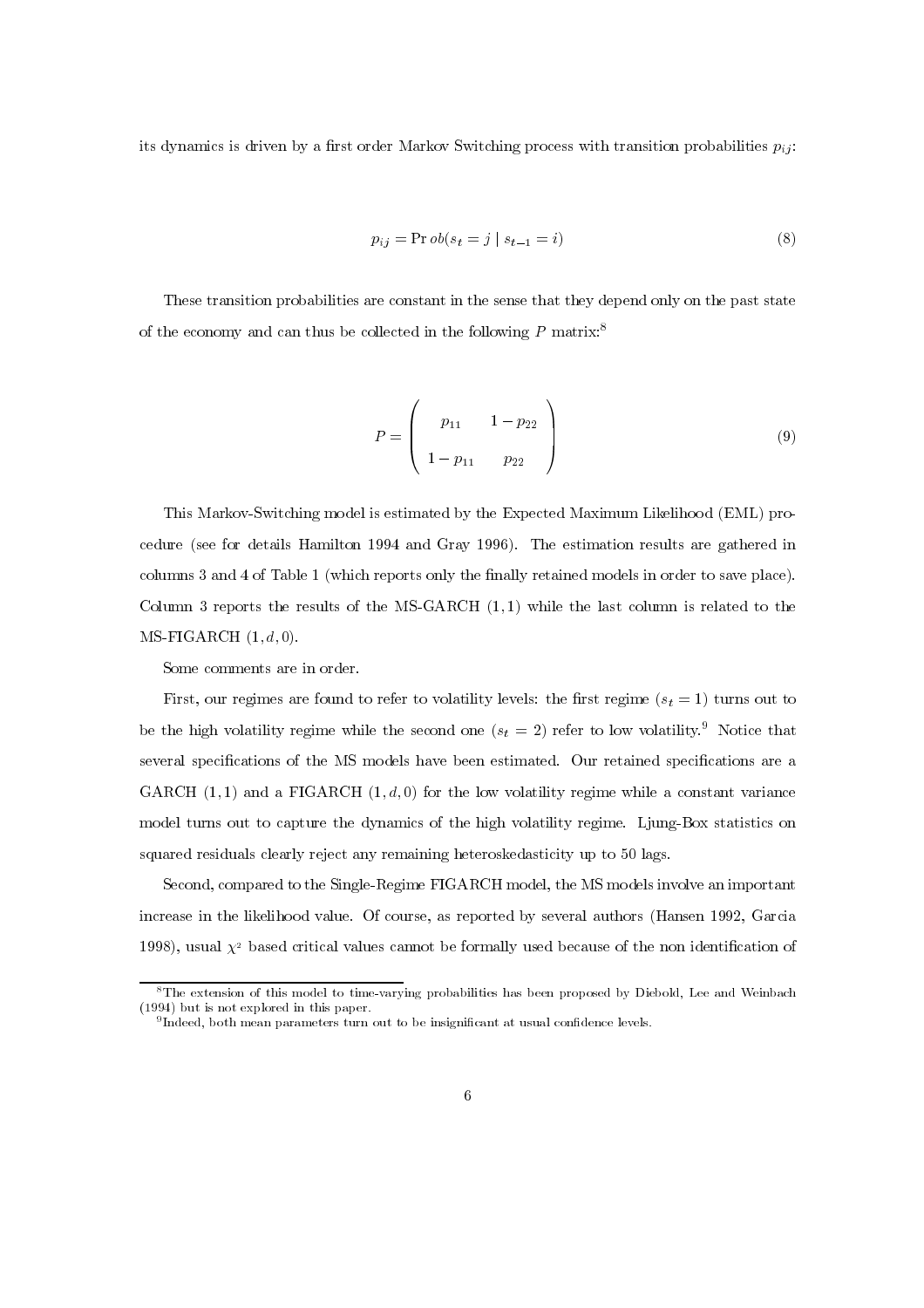its dynamics is driven by a first order Markov Switching process with transition probabilities  $p_{ij}$ :

$$
p_{ij} = \Pr{ob(s_t = j \mid s_{t-1} = i)}
$$
\n
$$
(8)
$$

These transition probabilities are constant in the sense that they depend only on the past state of the economy and can thus be collected in the following  $P$  matrix:<sup>8</sup>

$$
P = \left(\begin{array}{cc} p_{11} & 1 - p_{22} \\ 1 - p_{11} & p_{22} \end{array}\right) \tag{9}
$$

This Markov-Switching model is estimated by the Expected Maximum Likelihood (EML) procedure (see for details Hamilton 1994 and Gray 1996). The estimation results are gathered in columns 3 and 4 of Table 1 (which reports only the finally retained models in order to save place). Column 3 reports the results of the MS-GARCH  $(1,1)$  while the last column is related to the  $MS-FIGARCH (1, d, 0).$ 

Some comments are in order.

First, our regimes are found to refer to volatility levels: the first regime  $(s_t = 1)$  turns out to be the high volatility regime while the second one  $(s_t = 2)$  refer to low volatility.<sup>9</sup> Notice that several specifications of the MS models have been estimated. Our retained specifications are a GARCH  $(1, 1)$  and a FIGARCH  $(1, d, 0)$  for the low volatility regime while a constant variance model turns out to capture the dynamics of the high volatility regime. Ljung-Box statistics on squared residuals clearly reject any remaining heteroskedasticity up to 50 lags.

Second, compared to the Single-Regime FIGARCH model, the MS models involve an important increase in the likelihood value. Of course, as reported by several authors (Hansen 1992, Garcia 1998), usual  $\chi^2$  based critical values cannot be formally used because of the non identification of

<sup>&</sup>lt;sup>8</sup>The extension of this model to time-varying probabilities has been proposed by Diebold, Lee and Weinbach  $(1994)$  but is not explored in this paper.

 $9$ Indeed, both mean parameters turn out to be insignificant at usual confidence levels.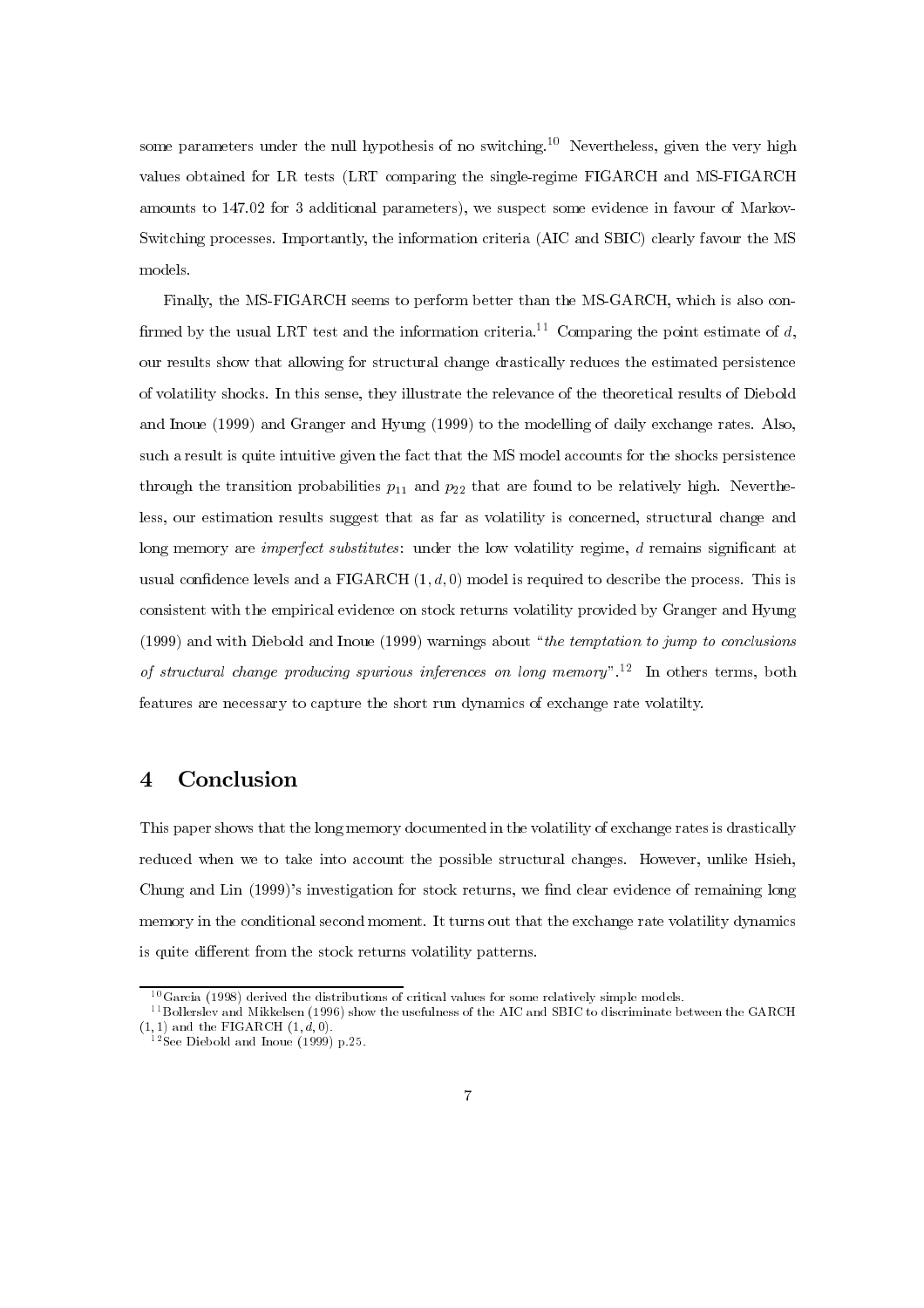some parameters under the null hypothesis of no switching.<sup>10</sup> Nevertheless, given the very high values obtained for LR tests (LRT comparing the single-regime FIGARCH and MS-FIGARCH amounts to  $147.02$  for 3 additional parameters), we suspect some evidence in favour of Markov-Switching processes. Importantly, the information criteria (AIC and SBIC) clearly favour the MS models.

Finally, the MS-FIGARCH seems to perform better than the MS-GARCH, which is also confirmed by the usual LRT test and the information criteria.<sup>11</sup> Comparing the point estimate of  $d$ , our results show that allowing for structural change drastically reduces the estimated persistence of volatility shocks. In this sense, they illustrate the relevance of the theoretical results of Diebold and Inoue (1999) and Granger and Hyung (1999) to the modelling of daily exchange rates. Also, such a result is quite intuitive given the fact that the MS model accounts for the shocks persistence through the transition probabilities  $p_{11}$  and  $p_{22}$  that are found to be relatively high. Nevertheless, our estimation results suggest that as far as volatility is concerned, structural change and long memory are *imperfect substitutes*: under the low volatility regime,  $d$  remains significant at usual confidence levels and a FIGARCH  $(1, d, 0)$  model is required to describe the process. This is consistent with the empirical evidence on stock returns volatility provided by Granger and Hyung  $(1999)$  and with Diebold and Inoue (1999) warnings about "the temptation to jump to conclusions of structural change producing spurious inferences on long memory".<sup>12</sup> In others terms, both features are necessary to capture the short run dynamics of exchange rate volatilty.

#### 4 Conclusion

This paper shows that the long memory documented in the volatility of exchange rates is drastically reduced when we to take into account the possible structural changes. However, unlike Hsieh, Chung and Lin (1999)'s investigation for stock returns, we find clear evidence of remaining long memory in the conditional second moment. It turns out that the exchange rate volatility dynamics is quite different from the stock returns volatility patterns.

 $^{10}$ Garcia (1998) derived the distributions of critical values for some relatively simple models.

 $^{11}$  Bollerslev and Mikkelsen (1996) show the usefulness of the AIC and SBIC to discriminate between the GARCH (1, 1) and the FIGARCH  $(1, \dot{d}, 0)$ .<br><sup>12</sup>See Diebold and Inoue (1999) p.25.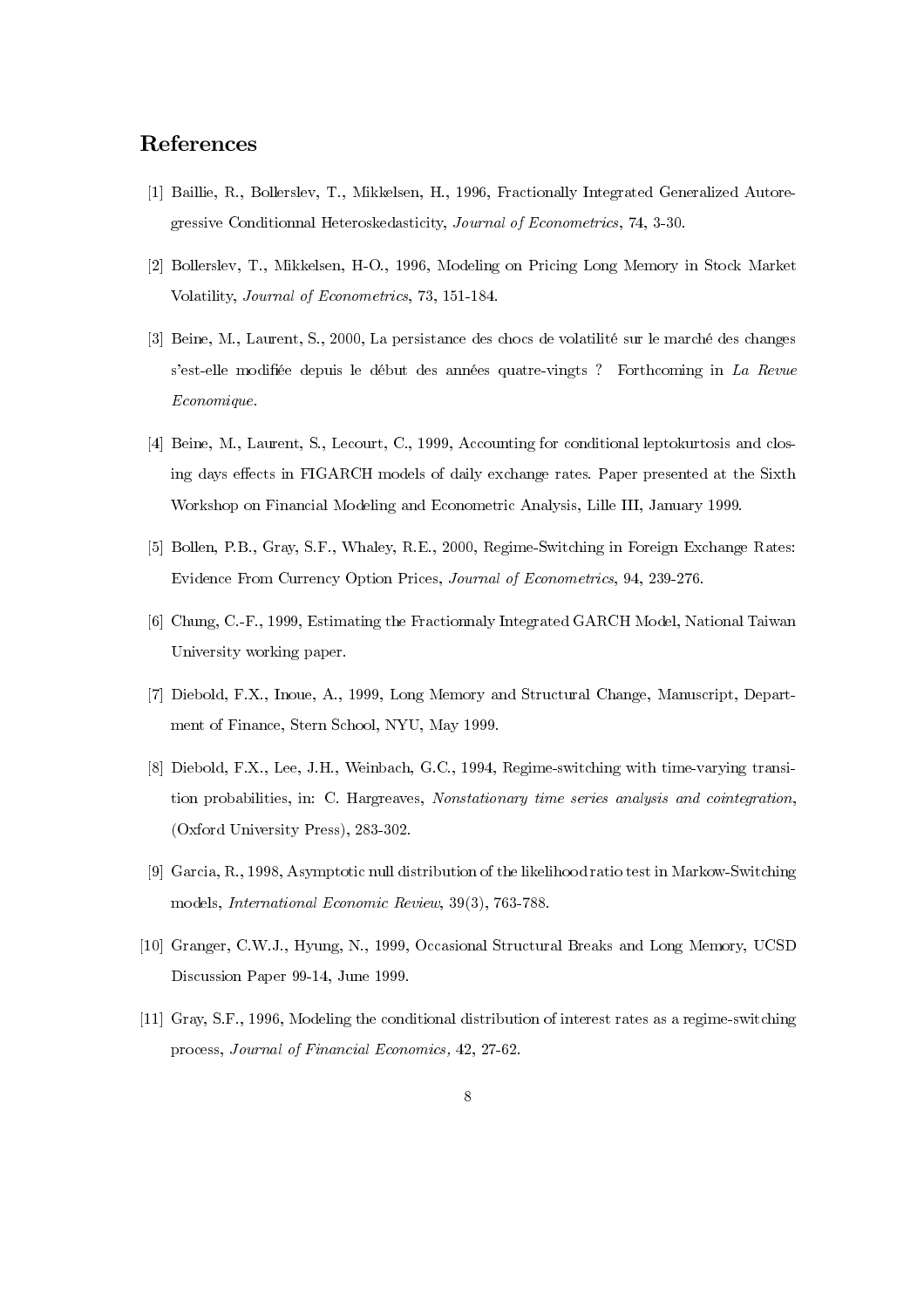### References

- <sup>[1]</sup> Baillie, R., Bollerslev, T., Mikkelsen, H., 1996, Fractionally Integrated Generalized Autoregressive Conditionnal Heteroskedasticity, Journal of Econometrics, 74, 3-30.
- <sup>[2]</sup> Bollersley, T., Mikkelsen, H-O., 1996, Modeling on Pricing Long Memory in Stock Market Volatility, Journal of Econometrics, 73, 151-184.
- $[3]$  Beine, M., Laurent, S., 2000, La persistance des chocs de volatilité sur le marché des changes s'est-elle modifiée depuis le début des années quatre-vingts? Forthcoming in La Revue  $E_{conomique.}$
- $[4]$  Beine, M., Laurent, S., Lecourt, C., 1999, Accounting for conditional leptokurtosis and closing days effects in FIGARCH models of daily exchange rates. Paper presented at the Sixth Workshop on Financial Modeling and Econometric Analysis, Lille III, January 1999.
- [5] Bollen, P.B., Gray, S.F., Whaley, R.E., 2000, Regime-Switching in Foreign Exchange Rates: Evidence From Currency Option Prices, Journal of Econometrics, 94, 239-276.
- $[6]$  Chung, C.-F., 1999, Estimating the Fractionnaly Integrated GARCH Model, National Taiwan University working paper.
- [7] Diebold, F.X., Inoue, A., 1999, Long Memory and Structural Change, Manuscript, Department of Finance, Stern School, NYU, May 1999.
- $[8]$  Diebold, F.X., Lee, J.H., Weinbach, G.C., 1994, Regime-switching with time-varying transition probabilities, in: C. Hargreaves, Nonstationary time series analysis and cointegration,  $(Oxford University Press), 283-302.$
- [9] Garcia, R., 1998, Asymptotic null distribution of the likelihood ratio test in Markow-Switching models, *International Economic Review*, 39(3), 763-788.
- [10] Granger, C.W.J., Hyung, N., 1999, Occasional Structural Breaks and Long Memory, UCSD Discussion Paper 99-14, June 1999.
- $[11]$  Gray, S.F., 1996, Modeling the conditional distribution of interest rates as a regime-switching process, Journal of Financial Economics, 42, 27-62.